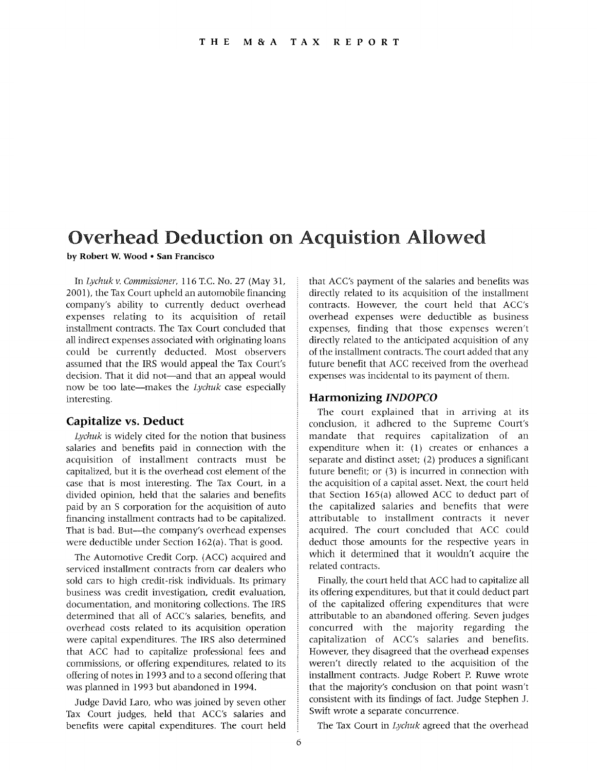# Overhead Deduction on Acquistion Allowed

**by Robert W. Wood • San Francisco** 

In *Lychuk v. Commissioner,* 116 T.c. No. 27 (May 31, 2001), the Tax Court upheld an automobile financing company's ability to currently deduct overhead expenses relating to its acquisition of retail installment contracts. The Tax Court concluded that all indirect expenses associated with originating loans could be currently deducted. Most observers assumed that the IRS would appeal the Tax Court's decision. That it did not—and that an appeal would now be too late-makes the *Lychuk* case especially in teresting.

### **Capitalize vs. Deduct**

*Lychuk* is widely cited for the notion that business salaries and benefits paid in connection with the acquisition of installment contracts must be capitalized, but it is the overhead cost element of the case that is most interesting. The Tax Court, in a divided opinion, held that the salaries and benefits paid by an S corporation for the acquisition of auto financing installment contracts had to be capitalized. That is bad. But-the company's overhead expenses were deductible under Section 162(a). That is good.

The Automotive Credit Corp. (ACC) acquired and serviced installment contracts from car dealers who sold cars to high credit-risk individuals. Its primary business was credit investigation, credit evaluation, documentation, and monitoring collections. The IRS determined that all of ACC's salaries, benefits, and overhead costs related to its acquisition operation were capital expenditures. The IRS also determined that ACC had to capitalize professional fees and commissions, or offering expenditures, related to its offering of notes in 1993 and to a second offering that was planned in 1993 but abandoned in 1994.

Judge David Laro, who was joined by seven other Tax Court judges, held that ACC's salaries and benefits were capital expenditures. The court held that ACC's payment of the salaries and benefits was directly related to its acquisition of the installment contracts. However, the court held that ACC's overhead expenses were deductible as business expenses, finding that those expenses weren't directly related to the anticipated acquisition of any of the installment contracts. The court added that any future benefit that ACC received from the overhead expenses was incidental to its payment of them.

### **Harmonizing** *INDOPCO*

The court explained that in arriving at its conclusion, it adhered to the Supreme Court's mandate that requires capitalization of an expenditure when it: (1) creates or enhances a separate and distinct asset; (2) produces a significant future benefit; or (3) is incurred in connection with the acquisition of a capital asset. Next, the court held that Section 165(a) allowed ACC to deduct part of the capitalized salaries and benefits that were attributable to installment contracts it never acquired. The court concluded that ACC could deduct those amounts for the respective years in which it determined that it wouldn't acquire the related contracts.

Finally, the court held that ACC had to capitalize all its offering expenditures, but that it could deduct part of the capitalized offering expenditures that were attributable to an abandoned offering. Seven judges concurred with the majority regarding the capitalization of ACC's salaries and benefits. However, they disagreed that the overhead expenses weren't directly related to the acquisition of the installment contracts. Judge Robert P. Ruwe wrote that the majority's conclusion on that point wasn't consistent with its findings of fact. Judge Stephen J. Swift wrote a separate concurrence.

The Tax Court in *Lychuk* agreed that the overhead